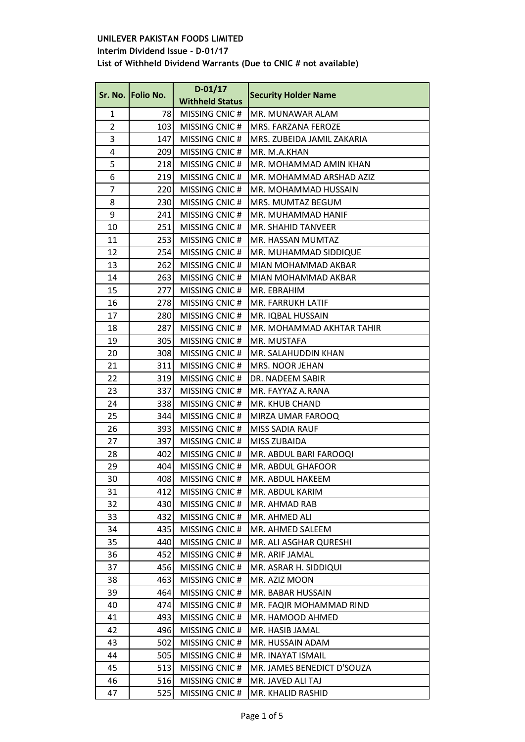**Interim Dividend Issue - D-01/17**

|                | Sr. No.   Folio No. | $D-01/17$              | <b>Security Holder Name</b> |
|----------------|---------------------|------------------------|-----------------------------|
|                |                     | <b>Withheld Status</b> |                             |
| 1              | 78                  | MISSING CNIC#          | MR. MUNAWAR ALAM            |
| $\overline{2}$ | 103                 | MISSING CNIC#          | MRS. FARZANA FEROZE         |
| 3              | 147                 | MISSING CNIC#          | MRS. ZUBEIDA JAMIL ZAKARIA  |
| 4              | 209                 | MISSING CNIC#          | MR. M.A.KHAN                |
| 5              | 218                 | MISSING CNIC#          | MR. MOHAMMAD AMIN KHAN      |
| 6              | 219                 | MISSING CNIC#          | MR. MOHAMMAD ARSHAD AZIZ    |
| 7              | 220                 | MISSING CNIC#          | MR. MOHAMMAD HUSSAIN        |
| 8              | 230                 | MISSING CNIC#          | MRS. MUMTAZ BEGUM           |
| 9              | 241                 | MISSING CNIC#          | MR. MUHAMMAD HANIF          |
| 10             | 251                 | MISSING CNIC#          | MR. SHAHID TANVEER          |
| 11             | 253                 | MISSING CNIC#          | MR. HASSAN MUMTAZ           |
| 12             | 254                 | MISSING CNIC#          | MR. MUHAMMAD SIDDIQUE       |
| 13             | 262                 | MISSING CNIC#          | MIAN MOHAMMAD AKBAR         |
| 14             | 263                 | MISSING CNIC#          | MIAN MOHAMMAD AKBAR         |
| 15             | 277                 | MISSING CNIC#          | MR. EBRAHIM                 |
| 16             | 278                 | MISSING CNIC#          | MR. FARRUKH LATIF           |
| 17             | 280                 | MISSING CNIC#          | MR. IQBAL HUSSAIN           |
| 18             | 287                 | MISSING CNIC#          | MR. MOHAMMAD AKHTAR TAHIR   |
| 19             | 305                 | MISSING CNIC#          | MR. MUSTAFA                 |
| 20             | 308                 | MISSING CNIC#          | MR. SALAHUDDIN KHAN         |
| 21             | 311                 | MISSING CNIC#          | MRS. NOOR JEHAN             |
| 22             | 319                 | MISSING CNIC#          | DR. NADEEM SABIR            |
| 23             | 337                 | MISSING CNIC#          | MR. FAYYAZ A.RANA           |
| 24             | 338                 | MISSING CNIC#          | MR. KHUB CHAND              |
| 25             | 344                 | MISSING CNIC#          | MIRZA UMAR FAROOQ           |
| 26             | 393                 | MISSING CNIC#          | <b>MISS SADIA RAUF</b>      |
| 27             | 397                 | MISSING CNIC#          | MISS ZUBAIDA                |
| 28             | 402                 | MISSING CNIC#          | MR. ABDUL BARI FAROOQI      |
| 29             | 404                 | MISSING CNIC#          | MR. ABDUL GHAFOOR           |
| 30             | 408                 | MISSING CNIC#          | MR. ABDUL HAKEEM            |
| 31             | 412                 | MISSING CNIC#          | MR. ABDUL KARIM             |
| 32             | 430                 | MISSING CNIC#          | MR. AHMAD RAB               |
| 33             | 432                 | MISSING CNIC#          | MR. AHMED ALI               |
| 34             | 435                 | MISSING CNIC#          | MR. AHMED SALEEM            |
| 35             | 440                 | MISSING CNIC#          | MR. ALI ASGHAR QURESHI      |
| 36             | 452                 | MISSING CNIC#          | MR. ARIF JAMAL              |
| 37             | 456                 | MISSING CNIC#          | MR. ASRAR H. SIDDIQUI       |
| 38             | 463                 | MISSING CNIC#          | MR. AZIZ MOON               |
| 39             | 464                 | MISSING CNIC#          | MR. BABAR HUSSAIN           |
| 40             | 474                 | MISSING CNIC #         | MR. FAQIR MOHAMMAD RIND     |
| 41             | 493                 | MISSING CNIC#          | MR. HAMOOD AHMED            |
| 42             | 496                 | MISSING CNIC#          | MR. HASIB JAMAL             |
| 43             | 502                 | MISSING CNIC#          | MR. HUSSAIN ADAM            |
| 44             | 505                 | MISSING CNIC#          | MR. INAYAT ISMAIL           |
| 45             | 513                 | MISSING CNIC#          | MR. JAMES BENEDICT D'SOUZA  |
| 46             | 516                 | MISSING CNIC#          | MR. JAVED ALI TAJ           |
| 47             | 525                 | MISSING CNIC#          | MR. KHALID RASHID           |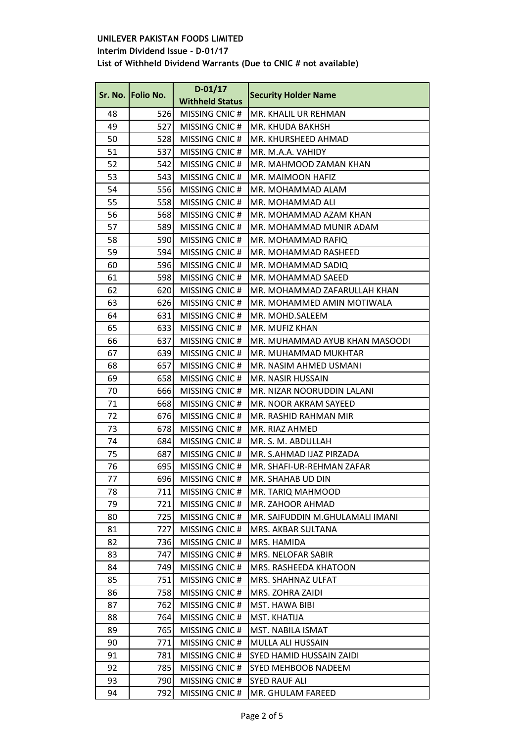# **Interim Dividend Issue - D-01/17**

|    | Sr. No. Folio No. | $D-01/17$              | <b>Security Holder Name</b>     |
|----|-------------------|------------------------|---------------------------------|
|    |                   | <b>Withheld Status</b> |                                 |
| 48 | 526               | MISSING CNIC#          | MR. KHALIL UR REHMAN            |
| 49 | 527               | MISSING CNIC#          | MR. KHUDA BAKHSH                |
| 50 | 528               | MISSING CNIC#          | MR. KHURSHEED AHMAD             |
| 51 | 537               | MISSING CNIC#          | MR. M.A.A. VAHIDY               |
| 52 | 542               | MISSING CNIC#          | MR. MAHMOOD ZAMAN KHAN          |
| 53 | 543               | MISSING CNIC#          | MR. MAIMOON HAFIZ               |
| 54 | 556               | MISSING CNIC#          | MR. MOHAMMAD ALAM               |
| 55 | 558               | MISSING CNIC#          | MR. MOHAMMAD ALI                |
| 56 | 568               | MISSING CNIC#          | MR. MOHAMMAD AZAM KHAN          |
| 57 | 589               | MISSING CNIC#          | MR. MOHAMMAD MUNIR ADAM         |
| 58 | 590               | MISSING CNIC#          | MR. MOHAMMAD RAFIQ              |
| 59 | 594               | MISSING CNIC#          | MR. MOHAMMAD RASHEED            |
| 60 | 596               | MISSING CNIC#          | MR. MOHAMMAD SADIQ              |
| 61 | 598               | MISSING CNIC#          | MR. MOHAMMAD SAEED              |
| 62 | 620               | MISSING CNIC#          | MR. MOHAMMAD ZAFARULLAH KHAN    |
| 63 | 626               | MISSING CNIC#          | MR. MOHAMMED AMIN MOTIWALA      |
| 64 | 631               | MISSING CNIC#          | MR. MOHD.SALEEM                 |
| 65 | 633               | MISSING CNIC#          | MR. MUFIZ KHAN                  |
| 66 | 637               | MISSING CNIC#          | MR. MUHAMMAD AYUB KHAN MASOODI  |
| 67 | 639               | MISSING CNIC#          | MR. MUHAMMAD MUKHTAR            |
| 68 | 657               | MISSING CNIC#          | MR. NASIM AHMED USMANI          |
| 69 | 658               | MISSING CNIC#          | MR. NASIR HUSSAIN               |
| 70 | 666               | MISSING CNIC#          | MR. NIZAR NOORUDDIN LALANI      |
| 71 | 668               | MISSING CNIC#          | MR. NOOR AKRAM SAYEED           |
| 72 | 676               | MISSING CNIC#          | MR. RASHID RAHMAN MIR           |
| 73 | 678               | MISSING CNIC#          | MR. RIAZ AHMED                  |
| 74 | 684               | MISSING CNIC#          | MR. S. M. ABDULLAH              |
| 75 | 687               | MISSING CNIC#          | MR. S.AHMAD IJAZ PIRZADA        |
| 76 | 695               | MISSING CNIC#          | MR. SHAFI-UR-REHMAN ZAFAR       |
| 77 | 696               | MISSING CNIC#          | MR. SHAHAB UD DIN               |
| 78 | 711               | MISSING CNIC#          | MR. TARIQ MAHMOOD               |
| 79 | 721               | MISSING CNIC#          | MR. ZAHOOR AHMAD                |
| 80 | 725               | MISSING CNIC#          | MR. SAIFUDDIN M.GHULAMALI IMANI |
| 81 | 727               | MISSING CNIC#          | MRS. AKBAR SULTANA              |
| 82 | 736               | MISSING CNIC#          | MRS. HAMIDA                     |
| 83 | 747               | MISSING CNIC#          | MRS. NELOFAR SABIR              |
| 84 | 749               | MISSING CNIC#          | MRS. RASHEEDA KHATOON           |
| 85 | 751               | MISSING CNIC#          | MRS. SHAHNAZ ULFAT              |
| 86 | 758               | MISSING CNIC#          | MRS. ZOHRA ZAIDI                |
| 87 | 762               | MISSING CNIC#          | MST. HAWA BIBI                  |
| 88 | 764               | MISSING CNIC#          | MST. KHATIJA                    |
| 89 | 765               | MISSING CNIC#          | MST. NABILA ISMAT               |
| 90 | 771               | MISSING CNIC#          | MULLA ALI HUSSAIN               |
| 91 | 781               | MISSING CNIC#          | SYED HAMID HUSSAIN ZAIDI        |
| 92 | 785               | MISSING CNIC#          | SYED MEHBOOB NADEEM             |
| 93 | 790               | MISSING CNIC#          | <b>SYED RAUF ALI</b>            |
| 94 | 792               | MISSING CNIC#          | MR. GHULAM FAREED               |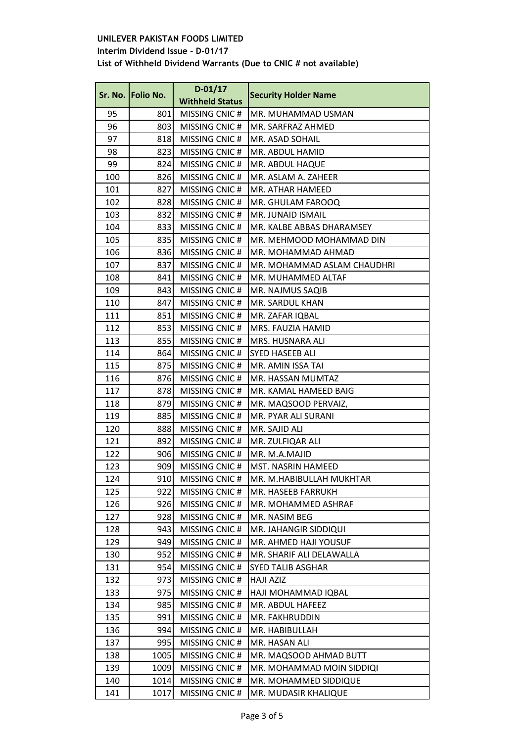# **Interim Dividend Issue - D-01/17**

|     | Sr. No. Folio No. | $D-01/17$              | <b>Security Holder Name</b> |
|-----|-------------------|------------------------|-----------------------------|
|     |                   | <b>Withheld Status</b> |                             |
| 95  | 801               | MISSING CNIC#          | MR. MUHAMMAD USMAN          |
| 96  | 803               | MISSING CNIC#          | MR. SARFRAZ AHMED           |
| 97  | 818               | MISSING CNIC#          | MR. ASAD SOHAIL             |
| 98  | 823               | MISSING CNIC#          | MR. ABDUL HAMID             |
| 99  | 824               | MISSING CNIC#          | MR. ABDUL HAQUE             |
| 100 | 826               | MISSING CNIC#          | MR. ASLAM A. ZAHEER         |
| 101 | 827               | MISSING CNIC#          | MR. ATHAR HAMEED            |
| 102 | 828               | MISSING CNIC#          | MR. GHULAM FAROOQ           |
| 103 | 832               | MISSING CNIC#          | MR. JUNAID ISMAIL           |
| 104 | 833               | MISSING CNIC#          | MR. KALBE ABBAS DHARAMSEY   |
| 105 | 835               | MISSING CNIC#          | MR. MEHMOOD MOHAMMAD DIN    |
| 106 | 836               | MISSING CNIC#          | MR. MOHAMMAD AHMAD          |
| 107 | 837               | MISSING CNIC#          | MR. MOHAMMAD ASLAM CHAUDHRI |
| 108 | 841               | MISSING CNIC#          | MR. MUHAMMED ALTAF          |
| 109 | 843               | MISSING CNIC#          | MR. NAJMUS SAQIB            |
| 110 | 847               | MISSING CNIC#          | MR. SARDUL KHAN             |
| 111 | 851               | MISSING CNIC#          | MR. ZAFAR IQBAL             |
| 112 | 853               | MISSING CNIC#          | MRS. FAUZIA HAMID           |
| 113 | 855               | MISSING CNIC#          | MRS. HUSNARA ALI            |
| 114 | 864               | MISSING CNIC#          | SYED HASEEB ALI             |
| 115 | 875               | MISSING CNIC#          | MR. AMIN ISSA TAI           |
| 116 | 876               | MISSING CNIC#          | MR. HASSAN MUMTAZ           |
| 117 | 878               | MISSING CNIC#          | MR. KAMAL HAMEED BAIG       |
| 118 | 879               | MISSING CNIC#          | MR. MAQSOOD PERVAIZ,        |
| 119 | 885               | MISSING CNIC#          | MR. PYAR ALI SURANI         |
| 120 | 888               | MISSING CNIC#          | MR. SAJID ALI               |
| 121 | 892               | MISSING CNIC#          | MR. ZULFIQAR ALI            |
| 122 | 906               | MISSING CNIC#          | MR. M.A.MAJID               |
| 123 | 909               | MISSING CNIC#          | MST. NASRIN HAMEED          |
| 124 | 910               | MISSING CNIC #         | MR. M.HABIBULLAH MUKHTAR    |
| 125 | 922               | MISSING CNIC#          | MR. HASEEB FARRUKH          |
| 126 | 926               | MISSING CNIC#          | MR. MOHAMMED ASHRAF         |
| 127 | 928               | MISSING CNIC#          | MR. NASIM BEG               |
| 128 | 943               | MISSING CNIC#          | MR. JAHANGIR SIDDIQUI       |
| 129 | 949               | MISSING CNIC#          | MR. AHMED HAJI YOUSUF       |
| 130 | 952               | MISSING CNIC#          | MR. SHARIF ALI DELAWALLA    |
| 131 | 954               | MISSING CNIC#          | <b>SYED TALIB ASGHAR</b>    |
| 132 | 973               | MISSING CNIC#          | <b>HAJI AZIZ</b>            |
| 133 | 975               | MISSING CNIC#          | HAJI MOHAMMAD IQBAL         |
| 134 | 985               | MISSING CNIC#          | MR. ABDUL HAFEEZ            |
| 135 | 991               | MISSING CNIC#          | MR. FAKHRUDDIN              |
| 136 | 994               | MISSING CNIC#          | MR. HABIBULLAH              |
| 137 | 995               | MISSING CNIC#          | MR. HASAN ALI               |
| 138 | 1005              | MISSING CNIC#          | MR. MAQSOOD AHMAD BUTT      |
| 139 | 1009              | MISSING CNIC#          | MR. MOHAMMAD MOIN SIDDIQI   |
| 140 | 1014              | MISSING CNIC#          | MR. MOHAMMED SIDDIQUE       |
| 141 | 1017              | MISSING CNIC#          | MR. MUDASIR KHALIQUE        |
|     |                   |                        |                             |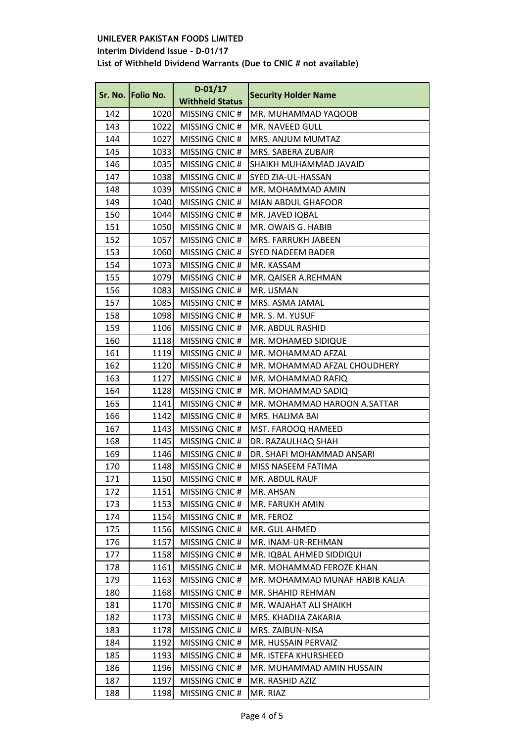**Interim Dividend Issue - D-01/17**

|     | Sr. No. Folio No. | $D-01/17$              |                                |
|-----|-------------------|------------------------|--------------------------------|
|     |                   | <b>Withheld Status</b> | <b>Security Holder Name</b>    |
| 142 | 1020              | MISSING CNIC#          | MR. MUHAMMAD YAQOOB            |
| 143 | 1022              | MISSING CNIC#          | MR. NAVEED GULL                |
| 144 | 1027              | MISSING CNIC#          | MRS. ANJUM MUMTAZ              |
| 145 | 1033              | MISSING CNIC#          | MRS. SABERA ZUBAIR             |
| 146 | 1035              | MISSING CNIC#          | SHAIKH MUHAMMAD JAVAID         |
| 147 | 1038              | MISSING CNIC#          | SYED ZIA-UL-HASSAN             |
| 148 | 1039              | MISSING CNIC#          | MR. MOHAMMAD AMIN              |
| 149 | 1040              | MISSING CNIC#          | <b>MIAN ABDUL GHAFOOR</b>      |
| 150 | 1044              | MISSING CNIC#          | MR. JAVED IQBAL                |
| 151 | 1050              | MISSING CNIC#          | MR. OWAIS G. HABIB             |
| 152 | 1057              | MISSING CNIC#          | MRS. FARRUKH JABEEN            |
| 153 | 1060              | MISSING CNIC#          | SYED NADEEM BADER              |
| 154 | 1073              | MISSING CNIC#          | MR. KASSAM                     |
| 155 | 1079              | MISSING CNIC#          | MR. QAISER A.REHMAN            |
| 156 | 1083              | MISSING CNIC#          | MR. USMAN                      |
| 157 | 1085              | MISSING CNIC#          | MRS. ASMA JAMAL                |
| 158 | 1098              | MISSING CNIC#          | MR. S. M. YUSUF                |
| 159 | 1106              | MISSING CNIC#          | MR. ABDUL RASHID               |
| 160 | 1118              | MISSING CNIC#          | MR. MOHAMED SIDIQUE            |
| 161 | 1119              | MISSING CNIC#          | MR. MOHAMMAD AFZAL             |
| 162 | 1120              | MISSING CNIC#          | MR. MOHAMMAD AFZAL CHOUDHERY   |
| 163 | 1127              | MISSING CNIC#          | MR. MOHAMMAD RAFIQ             |
| 164 | 1128              | MISSING CNIC#          | MR. MOHAMMAD SADIQ             |
| 165 | 1141              | MISSING CNIC#          | MR. MOHAMMAD HAROON A.SATTAR   |
| 166 | 1142              | MISSING CNIC#          | MRS. HALIMA BAI                |
| 167 | 1143              | MISSING CNIC#          | MST. FAROOQ HAMEED             |
| 168 | 1145              | MISSING CNIC#          | DR. RAZAULHAQ SHAH             |
| 169 | 1146              | MISSING CNIC#          | DR. SHAFI MOHAMMAD ANSARI      |
| 170 | 1148              | MISSING CNIC#          | MISS NASEEM FATIMA             |
| 171 | 1150              | MISSING CNIC#          | MR. ABDUL RAUF                 |
| 172 | 1151              | MISSING CNIC#          | MR. AHSAN                      |
| 173 | 1153              | MISSING CNIC#          | MR. FARUKH AMIN                |
| 174 | 1154              | MISSING CNIC#          | MR. FEROZ                      |
| 175 | 1156              | MISSING CNIC#          | MR. GUL AHMED                  |
| 176 | 1157              | MISSING CNIC#          | MR. INAM-UR-REHMAN             |
| 177 | 1158              | MISSING CNIC#          | MR. IQBAL AHMED SIDDIQUI       |
| 178 | 1161              | MISSING CNIC#          | MR. MOHAMMAD FEROZE KHAN       |
| 179 | 1163              | MISSING CNIC#          | MR. MOHAMMAD MUNAF HABIB KALIA |
| 180 | 1168              | MISSING CNIC#          | MR. SHAHID REHMAN              |
| 181 | 1170              | MISSING CNIC#          | MR. WAJAHAT ALI SHAIKH         |
| 182 | 1173              | MISSING CNIC#          | MRS. KHADIJA ZAKARIA           |
| 183 | 1178              | MISSING CNIC#          | MRS. ZAIBUN-NISA               |
| 184 | 1192              | MISSING CNIC#          | MR. HUSSAIN PERVAIZ            |
| 185 | 1193              | MISSING CNIC#          | MR. ISTEFA KHURSHEED           |
| 186 | 1196              | MISSING CNIC#          | MR. MUHAMMAD AMIN HUSSAIN      |
| 187 | 1197              | MISSING CNIC#          | MR. RASHID AZIZ                |
| 188 | 1198              | MISSING CNIC#          | MR. RIAZ                       |